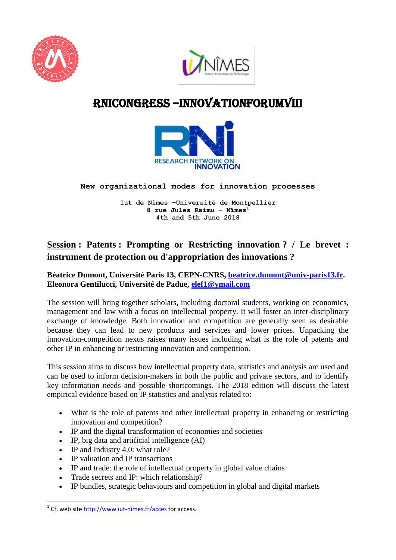



# RNIcONGRESS –innovationForumVIII



### **New organizational modes for innovation processes**

**Iut de Nîmes –Université de Montpellier 8 rue Jules Raimu - Nîmes<sup>1</sup> 4th and 5th June 2018**

## **Session : Patents : Prompting or Restricting innovation ? / Le brevet : instrument de protection ou d'appropriation des innovations ?**

### **Béatrice Dumont, Université Paris 13, CEPN-CNRS, [beatrice.dumont@univ-paris13.fr.](mailto:beatrice.dumont@univ-paris13.fr) Eleonora Gentilucci, Université de Padue, [elef1@ymail.com](mailto:elef1@ymail.com)**

The session will bring together scholars, including doctoral students, working on economics, management and law with a focus on intellectual property. It will foster an inter-disciplinary exchange of knowledge. Both innovation and competition are generally seen as desirable because they can lead to new products and services and lower prices. Unpacking the innovation-competition nexus raises many issues including what is the role of patents and other IP in enhancing or restricting innovation and competition.

This session aims to discuss how intellectual property data, statistics and analysis are used and can be used to inform decision-makers in both the public and private sectors, and to identify key information needs and possible shortcomings. The 2018 edition will discuss the latest empirical evidence based on IP statistics and analysis related to:

- What is the role of patents and other intellectual property in enhancing or restricting innovation and competition?
- IP and the digital transformation of economies and societies
- IP, big data and artificial intelligence (AI)
- IP and Industry 4.0: what role?
- IP valuation and IP transactions
- IP and trade: the role of intellectual property in global value chains
- Trade secrets and IP: which relationship?
- IP bundles, strategic behaviours and competition in global and digital markets

**.** 

<sup>&</sup>lt;sup>1</sup> Cf. web site<http://www.iut-nimes.fr/acces> for access.